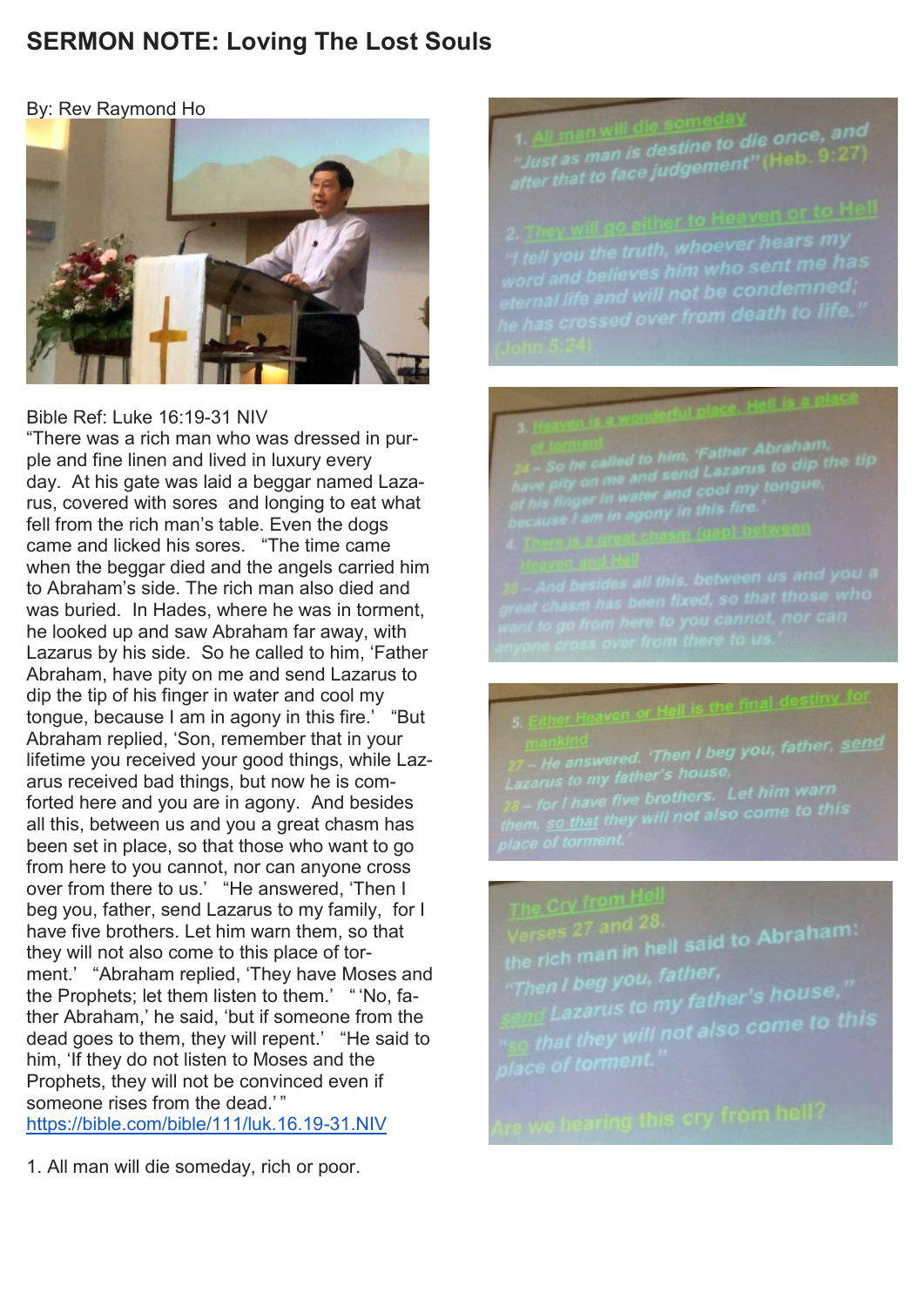## **SERMON NOTE: Loving The Lost Souls**

## By: Rev Raymond Ho



## Bible Ref: Luke 16:19-31 NIV

"There was a rich man who was dressed in purple and fine linen and lived in luxury every day. At his gate was laid a beggar named Lazarus, covered with sores and longing to eat what fell from the rich man's table. Even the dogs came and licked his sores. "The time came when the beggar died and the angels carried him to Abraham's side. The rich man also died and was buried. In Hades, where he was in torment, he looked up and saw Abraham far away, with Lazarus by his side. So he called to him, 'Father Abraham, have pity on me and send Lazarus to dip the tip of his finger in water and cool my tongue, because I am in agony in this fire.' "But Abraham replied, 'Son, remember that in your lifetime you received your good things, while Lazarus received bad things, but now he is comforted here and you are in agony. And besides all this, between us and you a great chasm has been set in place, so that those who want to go from here to you cannot, nor can anyone cross over from there to us.' "He answered, 'Then I beg you, father, send Lazarus to my family, for I have five brothers. Let him warn them, so that they will not also come to this place of torment.' "Abraham replied, 'They have Moses and the Prophets; let them listen to them.' "No, father Abraham,' he said, 'but if someone from the dead goes to them, they will repent.' "He said to him, 'If they do not listen to Moses and the Prophets, they will not be convinced even if someone rises from the dead.'" <https://bible.com/bible/111/luk.16.19-31.NIV>

1. All man will die someday, rich or poor.

all man will die some

1. All man will die someday<br>"Just as man is destine to die once, and<br>after that to face judgement" (Heb. 9:27)

## r Hell is the final destiny for

arus to my father's nouse,<br>for I have five brothers. Let him warn<br>i, <u>so that</u> they will not also come to this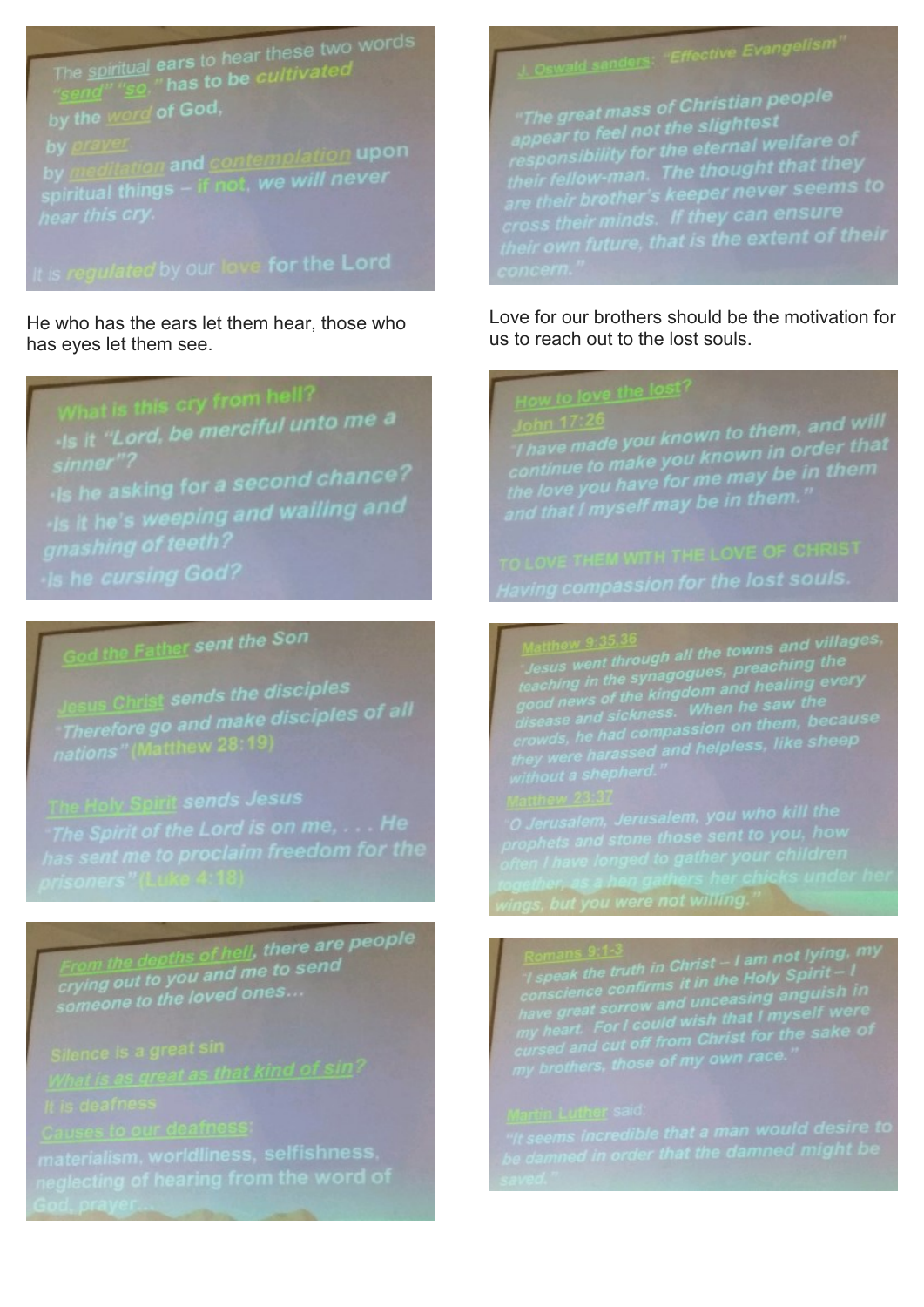The spiritual ears to hear these two words send" "so," has to be cultivated

by *prayer.*<br>hy meditation and contemplation upon by meditation and content will never<br>spiritual things - if not, we will never

He who has the ears let them hear, those who has eyes let them see.

# What is this cry from hell?

-Is it "Lord, be merciful unto me a Is he asking for a second chance?

## God the Father sent the Son

Therefore go and make disciples of all

he depths of hell, **there are people** crying out to you and me to send someone to the loved ones...

Dswald sanders: "Effective Evangelism"

"The great mass of Christian people<br>appear to feel not the slightest<br>responsibility for the eternal welfare of<br>their fellow-man. The thought that they<br>are their brother's keeper never seems to<br>cross their minds. If they ca

Love for our brothers should be the motivation for us to reach out to the lost souls.

## v to love the lost?

Matthew 9:35,36<br>Jesus went through all the towns and villages,<br>teaching in the synagogues, preaching the<br>good news of the kingdom and healing every<br>good news of the kingdom and healing every<br>disease and sickness. When he s

gs, but you were not willing.

Romans 9:1-3<br>
"I speak the truth in Christ - I am not lying, my<br>
conscience confirms it in the Holy Spirit - I<br>
have great sorrow and unceasing anguish in<br>
my heart. For I could wish that I myself were<br>
cursed and cut off